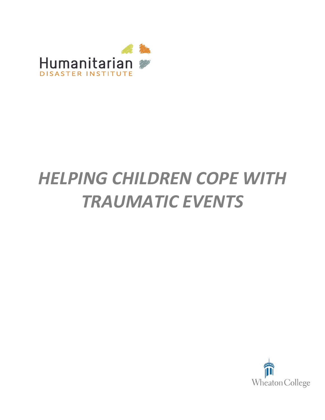

# $H$ EI DINI $\subset C$ i **HELPING CHILDREN COPE WITH** *TRAUMATIC EVENTS*

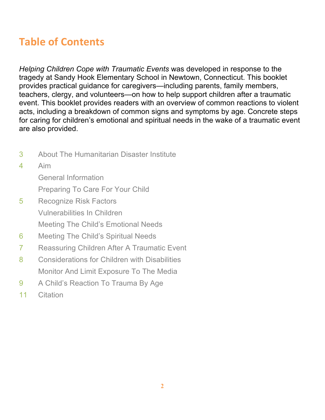# **Table of Contents**

*Helping Children Cope with Traumatic Events* was developed in response to the tragedy at Sandy Hook Elementary School in Newtown, Connecticut. This booklet provides practical guidance for caregivers—including parents, family members, teachers, clergy, and volunteers—on how to help support children after a traumatic event. This booklet provides readers with an overview of common reactions to violent acts, including a breakdown of common signs and symptoms by age. Concrete steps for caring for children's emotional and spiritual needs in the wake of a traumatic event are also provided.

- 3 About The Humanitarian Disaster Institute
- 4 Aim

General Information

Preparing To Care For Your Child

- 5 Recognize Risk Factors Vulnerabilities In Children Meeting The Child's Emotional Needs
- 6 Meeting The Child's Spiritual Needs
- 7 Reassuring Children After A Traumatic Event
- 8 Considerations for Children with Disabilities Monitor And Limit Exposure To The Media
- 9 A Child's Reaction To Trauma By Age
- 11 Citation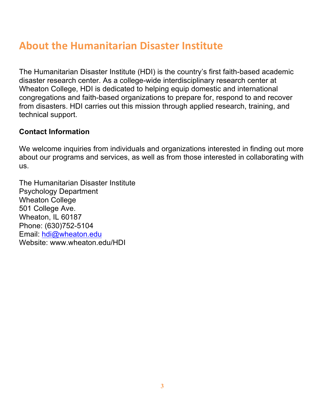## **About the Humanitarian Disaster Institute**

The Humanitarian Disaster Institute (HDI) is the country's first faith-based academic disaster research center. As a college-wide interdisciplinary research center at Wheaton College, HDI is dedicated to helping equip domestic and international congregations and faith-based organizations to prepare for, respond to and recover from disasters. HDI carries out this mission through applied research, training, and technical support.

#### **Contact Information**

We welcome inquiries from individuals and organizations interested in finding out more about our programs and services, as well as from those interested in collaborating with us.

The Humanitarian Disaster Institute Psychology Department Wheaton College 501 College Ave. Wheaton, IL 60187 Phone: (630)752-5104 Email: hdi@wheaton.edu Website: www.wheaton.edu/HDI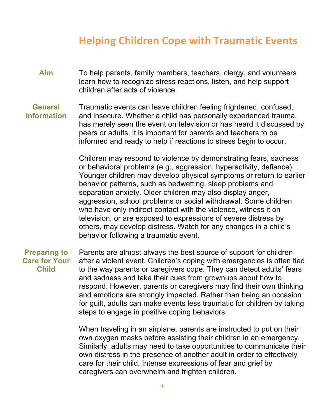### **Helping Children Cope with Traumatic Events**

**Aim** To help parents, family members, teachers, clergy, and volunteers learn how to recognize stress reactions, listen, and help support children after acts of violence.

#### **General Information** Traumatic events can leave children feeling frightened, confused, and insecure. Whether a child has personally experienced trauma, has merely seen the event on television or has heard it discussed by peers or adults, it is important for parents and teachers to be informed and ready to help if reactions to stress begin to occur.

Children may respond to violence by demonstrating fears, sadness or behavioral problems (e.g., aggression, hyperactivity, defiance). Younger children may develop physical symptoms or return to earlier behavior patterns, such as bedwetting, sleep problems and separation anxiety. Older children may also display anger, aggression, school problems or social withdrawal. Some children who have only indirect contact with the violence, witness it on television, or are exposed to expressions of severe distress by others, may develop distress. Watch for any changes in a child's behavior following a traumatic event.

**Preparing to Care for Your Child** Parents are almost always the best source of support for children after a violent event. Children's coping with emergencies is often tied to the way parents or caregivers cope. They can detect adults' fears and sadness and take their cues from grownups about how to respond. However, parents or caregivers may find their own thinking and emotions are strongly impacted. Rather than being an occasion for guilt, adults can make events less traumatic for children by taking steps to engage in positive coping behaviors.

> When traveling in an airplane, parents are instructed to put on their own oxygen masks before assisting their children in an emergency. Similarly, adults may need to take opportunities to communicate their own distress in the presence of another adult in order to effectively care for their child. Intense expressions of fear and grief by caregivers can overwhelm and frighten children.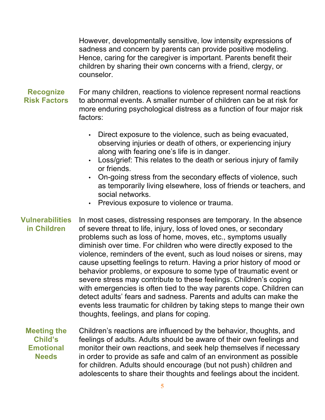However, developmentally sensitive, low intensity expressions of sadness and concern by parents can provide positive modeling. Hence, caring for the caregiver is important. Parents benefit their children by sharing their own concerns with a friend, clergy, or counselor.

#### **Recognize Risk Factors** For many children, reactions to violence represent normal reactions to abnormal events. A smaller number of children can be at risk for more enduring psychological distress as a function of four major risk factors:

- Direct exposure to the violence, such as being evacuated, observing injuries or death of others, or experiencing injury along with fearing one's life is in danger.
- Loss/grief: This relates to the death or serious injury of family or friends.
- On-going stress from the secondary effects of violence, such as temporarily living elsewhere, loss of friends or teachers, and social networks.
- Previous exposure to violence or trauma.
- **Vulnerabilities in Children** In most cases, distressing responses are temporary. In the absence of severe threat to life, injury, loss of loved ones, or secondary problems such as loss of home, moves, etc., symptoms usually diminish over time. For children who were directly exposed to the violence, reminders of the event, such as loud noises or sirens, may cause upsetting feelings to return. Having a prior history of mood or behavior problems, or exposure to some type of traumatic event or severe stress may contribute to these feelings. Children's coping with emergencies is often tied to the way parents cope. Children can detect adults' fears and sadness. Parents and adults can make the events less traumatic for children by taking steps to mange their own thoughts, feelings, and plans for coping.
	- **Meeting the Child's Emotional Needs** Children's reactions are influenced by the behavior, thoughts, and feelings of adults. Adults should be aware of their own feelings and monitor their own reactions, and seek help themselves if necessary in order to provide as safe and calm of an environment as possible for children. Adults should encourage (but not push) children and adolescents to share their thoughts and feelings about the incident.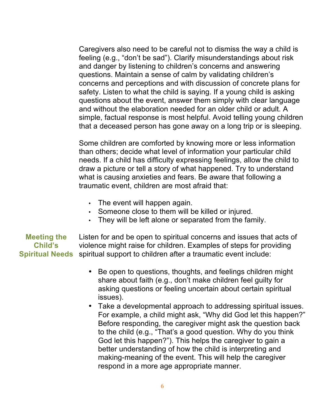Caregivers also need to be careful not to dismiss the way a child is feeling (e.g., "don't be sad"). Clarify misunderstandings about risk and danger by listening to children's concerns and answering questions. Maintain a sense of calm by validating children's concerns and perceptions and with discussion of concrete plans for safety. Listen to what the child is saying. If a young child is asking questions about the event, answer them simply with clear language and without the elaboration needed for an older child or adult. A simple, factual response is most helpful. Avoid telling young children that a deceased person has gone away on a long trip or is sleeping.

Some children are comforted by knowing more or less information than others; decide what level of information your particular child needs. If a child has difficulty expressing feelings, allow the child to draw a picture or tell a story of what happened. Try to understand what is causing anxieties and fears. Be aware that following a traumatic event, children are most afraid that:

- The event will happen again.
- Someone close to them will be killed or injured.
- They will be left alone or separated from the family.

**Meeting the Child's Spiritual Needs** Listen for and be open to spiritual concerns and issues that acts of violence might raise for children. Examples of steps for providing spiritual support to children after a traumatic event include:

- Be open to questions, thoughts, and feelings children might share about faith (e.g., don't make children feel guilty for asking questions or feeling uncertain about certain spiritual issues).
- Take a developmental approach to addressing spiritual issues. For example, a child might ask, "Why did God let this happen?" Before responding, the caregiver might ask the question back to the child (e.g., "That's a good question. Why do you think God let this happen?"). This helps the caregiver to gain a better understanding of how the child is interpreting and making-meaning of the event. This will help the caregiver respond in a more age appropriate manner.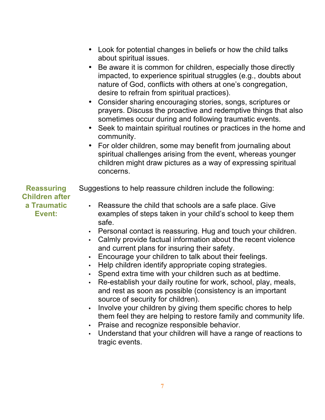|                                                                     | Look for potential changes in beliefs or how the child talks<br>about spiritual issues.<br>Be aware it is common for children, especially those directly<br>$\bullet$<br>impacted, to experience spiritual struggles (e.g., doubts about<br>nature of God, conflicts with others at one's congregation,<br>desire to refrain from spiritual practices).<br>• Consider sharing encouraging stories, songs, scriptures or<br>prayers. Discuss the proactive and redemptive things that also<br>sometimes occur during and following traumatic events.<br>Seek to maintain spiritual routines or practices in the home and<br>$\bullet$<br>community.<br>For older children, some may benefit from journaling about<br>$\bullet$<br>spiritual challenges arising from the event, whereas younger<br>children might draw pictures as a way of expressing spiritual<br>concerns.                                                                                                                                                                                                 |
|---------------------------------------------------------------------|-----------------------------------------------------------------------------------------------------------------------------------------------------------------------------------------------------------------------------------------------------------------------------------------------------------------------------------------------------------------------------------------------------------------------------------------------------------------------------------------------------------------------------------------------------------------------------------------------------------------------------------------------------------------------------------------------------------------------------------------------------------------------------------------------------------------------------------------------------------------------------------------------------------------------------------------------------------------------------------------------------------------------------------------------------------------------------|
| <b>Reassuring</b><br><b>Children after</b><br>a Traumatic<br>Event: | Suggestions to help reassure children include the following:<br>• Reassure the child that schools are a safe place. Give<br>examples of steps taken in your child's school to keep them<br>safe.<br>Personal contact is reassuring. Hug and touch your children.<br>$\bullet$<br>Calmly provide factual information about the recent violence<br>$\bullet$<br>and current plans for insuring their safety.<br>Encourage your children to talk about their feelings.<br>$\bullet$<br>Help children identify appropriate coping strategies.<br>$\bullet$<br>Spend extra time with your children such as at bedtime.<br>• Re-establish your daily routine for work, school, play, meals,<br>and rest as soon as possible (consistency is an important<br>source of security for children).<br>Involve your children by giving them specific chores to help<br>$\bullet$<br>them feel they are helping to restore family and community life.<br>Praise and recognize responsible behavior.<br>Understand that your children will have a range of reactions to<br>tragic events. |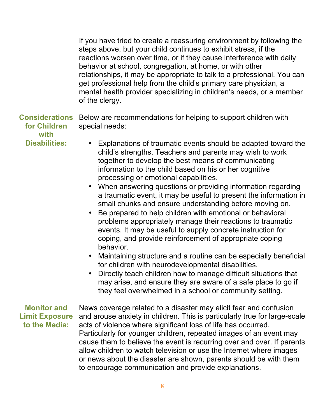If you have tried to create a reassuring environment by following the steps above, but your child continues to exhibit stress, if the reactions worsen over time, or if they cause interference with daily behavior at school, congregation, at home, or with other relationships, it may be appropriate to talk to a professional. You can get professional help from the child's primary care physician, a mental health provider specializing in children's needs, or a member of the clergy.

**Considerations for Children with Disabilities:** Below are recommendations for helping to support children with special needs: • Explanations of traumatic events should be adapted toward the

- child's strengths. Teachers and parents may wish to work together to develop the best means of communicating information to the child based on his or her cognitive processing or emotional capabilities.
- When answering questions or providing information regarding a traumatic event, it may be useful to present the information in small chunks and ensure understanding before moving on.
- Be prepared to help children with emotional or behavioral problems appropriately manage their reactions to traumatic events. It may be useful to supply concrete instruction for coping, and provide reinforcement of appropriate coping behavior.
- Maintaining structure and a routine can be especially beneficial for children with neurodevelopmental disabilities.
- Directly teach children how to manage difficult situations that may arise, and ensure they are aware of a safe place to go if they feel overwhelmed in a school or community setting.

**Monitor and Limit Exposure to the Media:** News coverage related to a disaster may elicit fear and confusion and arouse anxiety in children. This is particularly true for large-scale acts of violence where significant loss of life has occurred. Particularly for younger children, repeated images of an event may cause them to believe the event is recurring over and over. If parents allow children to watch television or use the Internet where images or news about the disaster are shown, parents should be with them to encourage communication and provide explanations.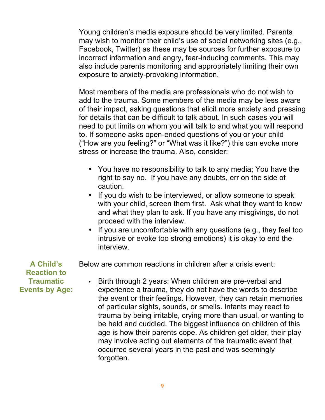Young children's media exposure should be very limited. Parents may wish to monitor their child's use of social networking sites (e.g., Facebook, Twitter) as these may be sources for further exposure to incorrect information and angry, fear-inducing comments. This may also include parents monitoring and appropriately limiting their own exposure to anxiety-provoking information.

Most members of the media are professionals who do not wish to add to the trauma. Some members of the media may be less aware of their impact, asking questions that elicit more anxiety and pressing for details that can be difficult to talk about. In such cases you will need to put limits on whom you will talk to and what you will respond to. If someone asks open-ended questions of you or your child ("How are you feeling?" or "What was it like?") this can evoke more stress or increase the trauma. Also, consider:

- You have no responsibility to talk to any media; You have the right to say no. If you have any doubts, err on the side of caution.
- If you do wish to be interviewed, or allow someone to speak with your child, screen them first. Ask what they want to know and what they plan to ask. If you have any misgivings, do not proceed with the interview.
- If you are uncomfortable with any questions (e.g., they feel too intrusive or evoke too strong emotions) it is okay to end the interview.

**A Child's**  Below are common reactions in children after a crisis event:

**Reaction to Traumatic Events by Age:**

• Birth through 2 years: When children are pre-verbal and experience a trauma, they do not have the words to describe the event or their feelings. However, they can retain memories of particular sights, sounds, or smells. Infants may react to trauma by being irritable, crying more than usual, or wanting to be held and cuddled. The biggest influence on children of this age is how their parents cope. As children get older, their play may involve acting out elements of the traumatic event that occurred several years in the past and was seemingly forgotten.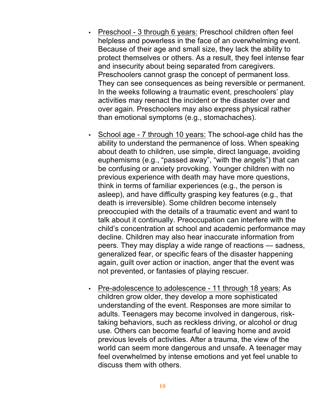- Preschool 3 through 6 years: Preschool children often feel helpless and powerless in the face of an overwhelming event. Because of their age and small size, they lack the ability to protect themselves or others. As a result, they feel intense fear and insecurity about being separated from caregivers. Preschoolers cannot grasp the concept of permanent loss. They can see consequences as being reversible or permanent. In the weeks following a traumatic event, preschoolers' play activities may reenact the incident or the disaster over and over again. Preschoolers may also express physical rather than emotional symptoms (e.g., stomachaches).
- School age 7 through 10 years: The school-age child has the ability to understand the permanence of loss. When speaking about death to children, use simple, direct language, avoiding euphemisms (e.g., "passed away", "with the angels") that can be confusing or anxiety provoking. Younger children with no previous experience with death may have more questions, think in terms of familiar experiences (e.g., the person is asleep), and have difficulty grasping key features (e.g., that death is irreversible). Some children become intensely preoccupied with the details of a traumatic event and want to talk about it continually. Preoccupation can interfere with the child's concentration at school and academic performance may decline. Children may also hear inaccurate information from peers. They may display a wide range of reactions — sadness, generalized fear, or specific fears of the disaster happening again, guilt over action or inaction, anger that the event was not prevented, or fantasies of playing rescuer.
- Pre-adolescence to adolescence 11 through 18 years: As children grow older, they develop a more sophisticated understanding of the event. Responses are more similar to adults. Teenagers may become involved in dangerous, risktaking behaviors, such as reckless driving, or alcohol or drug use. Others can become fearful of leaving home and avoid previous levels of activities. After a trauma, the view of the world can seem more dangerous and unsafe. A teenager may feel overwhelmed by intense emotions and yet feel unable to discuss them with others.